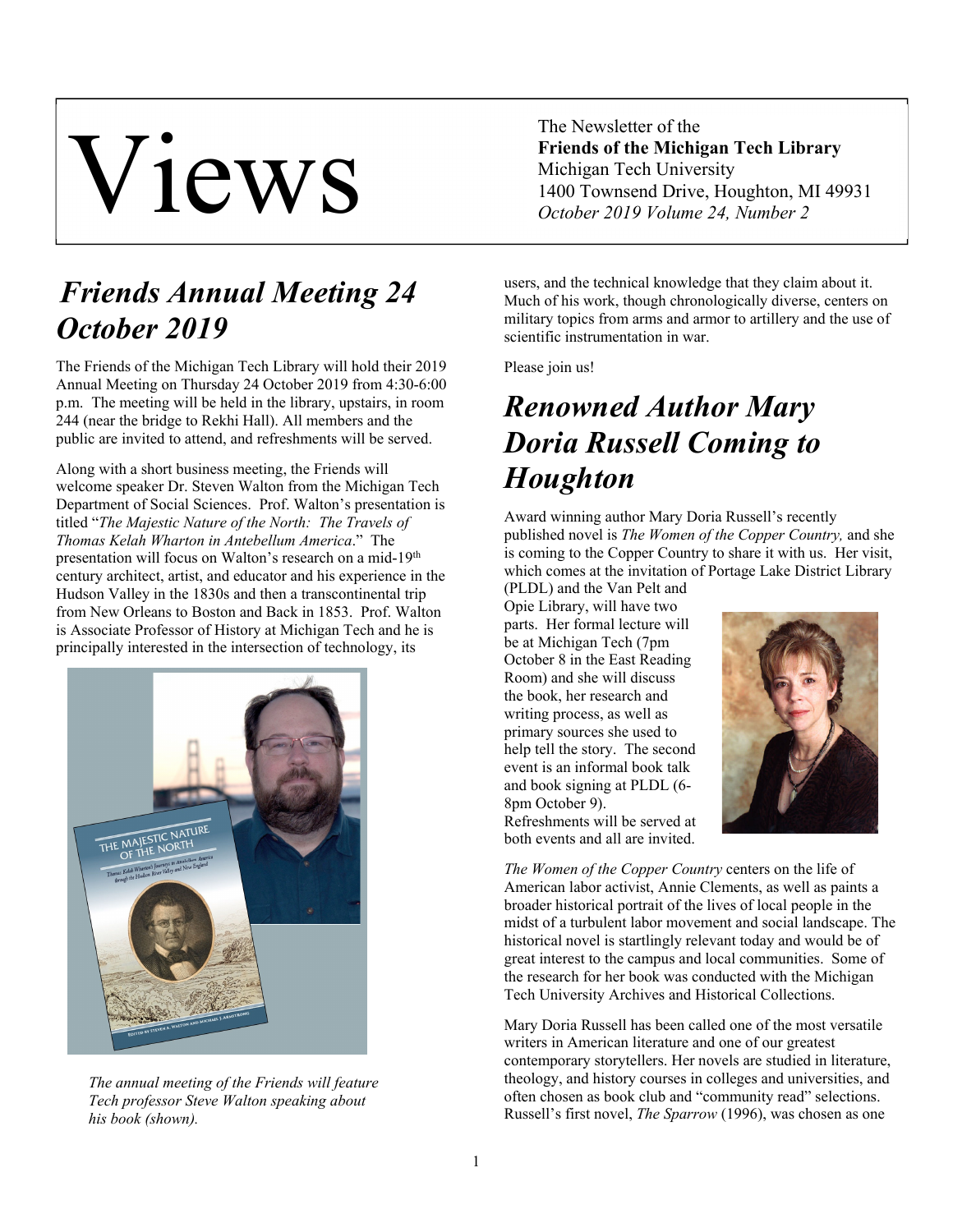# Views

The Newsletter of the **Friends of the Michigan Tech Library**  Michigan Tech University 1400 Townsend Drive, Houghton, MI 49931 *October 2019 Volume 24, Number 2* 

## *Friends Annual Meeting 24 October 2019*

The Friends of the Michigan Tech Library will hold their 2019 Annual Meeting on Thursday 24 October 2019 from 4:30-6:00 p.m. The meeting will be held in the library, upstairs, in room 244 (near the bridge to Rekhi Hall). All members and the public are invited to attend, and refreshments will be served.

Along with a short business meeting, the Friends will welcome speaker Dr. Steven Walton from the Michigan Tech Department of Social Sciences. Prof. Walton's presentation is titled "*The Majestic Nature of the North: The Travels of Thomas Kelah Wharton in Antebellum America*." The presentation will focus on Walton's research on a mid-19<sup>th</sup> century architect, artist, and educator and his experience in the Hudson Valley in the 1830s and then a transcontinental trip from New Orleans to Boston and Back in 1853. Prof. Walton is Associate Professor of History at Michigan Tech and he is principally interested in the intersection of technology, its



*The annual meeting of the Friends will feature Tech professor Steve Walton speaking about his book (shown).* 

users, and the technical knowledge that they claim about it. Much of his work, though chronologically diverse, centers on military topics from arms and armor to artillery and the use of scientific instrumentation in war.

Please join us!

## *Renowned Author Mary Doria Russell Coming to Houghton*

Award winning author Mary Doria Russell's recently published novel is *The Women of the Copper Country,* and she is coming to the Copper Country to share it with us. Her visit, which comes at the invitation of Portage Lake District Library

(PLDL) and the Van Pelt and Opie Library, will have two parts. Her formal lecture will be at Michigan Tech (7pm October 8 in the East Reading Room) and she will discuss the book, her research and writing process, as well as primary sources she used to help tell the story. The second event is an informal book talk and book signing at PLDL (6- 8pm October 9). Refreshments will be served at both events and all are invited.



*The Women of the Copper Country* centers on the life of American labor activist, Annie Clements, as well as paints a broader historical portrait of the lives of local people in the midst of a turbulent labor movement and social landscape. The historical novel is startlingly relevant today and would be of great interest to the campus and local communities. Some of the research for her book was conducted with the Michigan Tech University Archives and Historical Collections.

Mary Doria Russell has been called one of the most versatile writers in American literature and one of our greatest contemporary storytellers. Her novels are studied in literature, theology, and history courses in colleges and universities, and often chosen as book club and "community read" selections. Russell's first novel, *The Sparrow* (1996), was chosen as one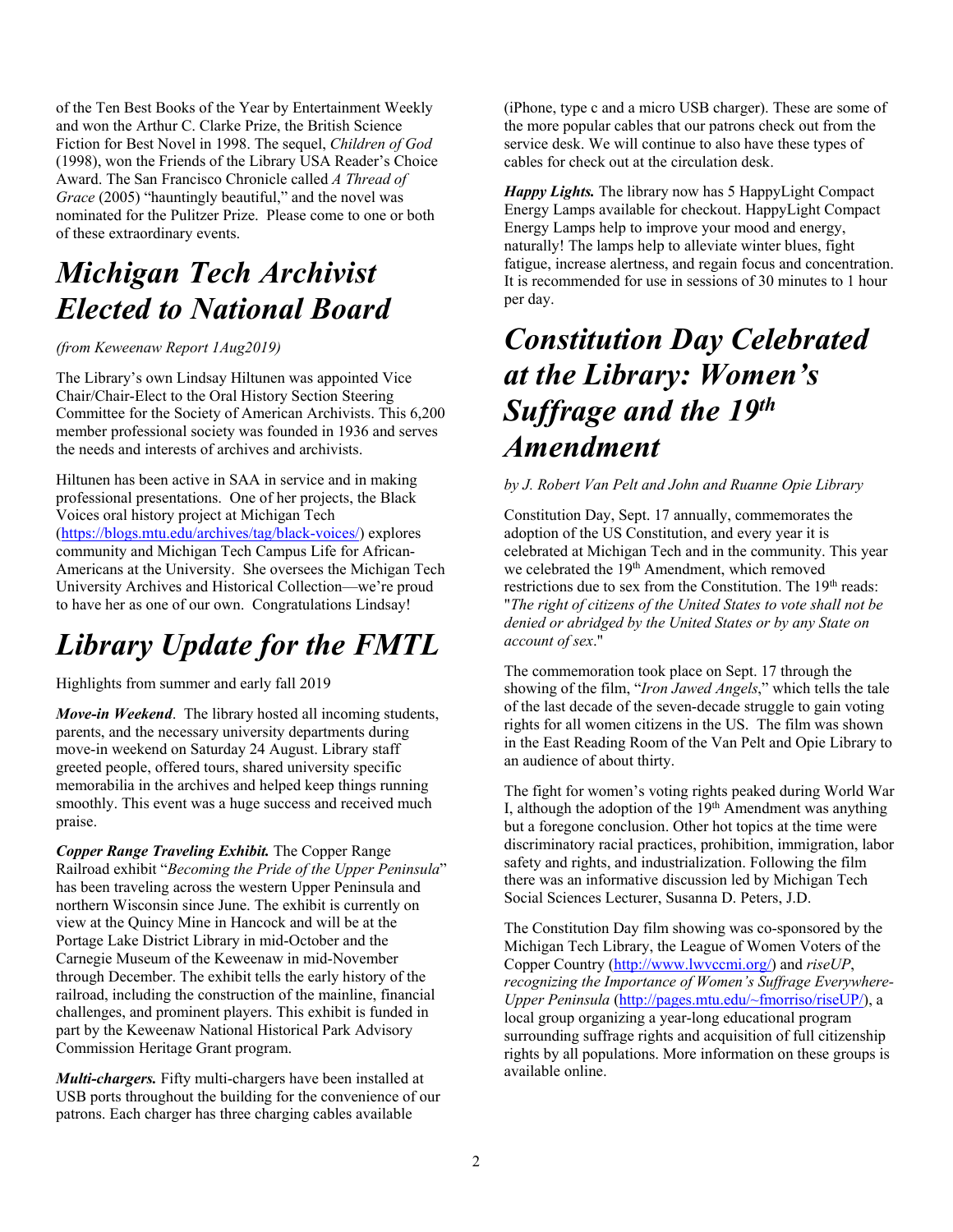of the Ten Best Books of the Year by Entertainment Weekly and won the Arthur C. Clarke Prize, the British Science Fiction for Best Novel in 1998. The sequel, *Children of God* (1998), won the Friends of the Library USA Reader's Choice Award. The San Francisco Chronicle called *A Thread of Grace* (2005) "hauntingly beautiful," and the novel was nominated for the Pulitzer Prize. Please come to one or both of these extraordinary events.

#### *Michigan Tech Archivist Elected to National Board*

#### *(from Keweenaw Report 1Aug2019)*

The Library's own Lindsay Hiltunen was appointed Vice Chair/Chair-Elect to the Oral History Section Steering Committee for the Society of American Archivists. This 6,200 member professional society was founded in 1936 and serves the needs and interests of archives and archivists.

Hiltunen has been active in SAA in service and in making professional presentations. One of her projects, the Black Voices oral history project at Michigan Tech (https://blogs.mtu.edu/archives/tag/black-voices/) explores community and Michigan Tech Campus Life for African-Americans at the University. She oversees the Michigan Tech University Archives and Historical Collection—we're proud to have her as one of our own. Congratulations Lindsay!

## *Library Update for the FMTL*

Highlights from summer and early fall 2019

*Move-in Weekend*. The library hosted all incoming students, parents, and the necessary university departments during move-in weekend on Saturday 24 August. Library staff greeted people, offered tours, shared university specific memorabilia in the archives and helped keep things running smoothly. This event was a huge success and received much praise.

*Copper Range Traveling Exhibit.* The Copper Range Railroad exhibit "*Becoming the Pride of the Upper Peninsula*" has been traveling across the western Upper Peninsula and northern Wisconsin since June. The exhibit is currently on view at the Quincy Mine in Hancock and will be at the Portage Lake District Library in mid-October and the Carnegie Museum of the Keweenaw in mid-November through December. The exhibit tells the early history of the railroad, including the construction of the mainline, financial challenges, and prominent players. This exhibit is funded in part by the Keweenaw National Historical Park Advisory Commission Heritage Grant program.

*Multi-chargers.* Fifty multi-chargers have been installed at USB ports throughout the building for the convenience of our patrons. Each charger has three charging cables available

(iPhone, type c and a micro USB charger). These are some of the more popular cables that our patrons check out from the service desk. We will continue to also have these types of cables for check out at the circulation desk.

*Happy Lights.* The library now has 5 HappyLight Compact Energy Lamps available for checkout. HappyLight Compact Energy Lamps help to improve your mood and energy, naturally! The lamps help to alleviate winter blues, fight fatigue, increase alertness, and regain focus and concentration. It is recommended for use in sessions of 30 minutes to 1 hour per day.

#### *Constitution Day Celebrated at the Library: Women's Suffrage and the 19th Amendment*

#### *by J. Robert Van Pelt and John and Ruanne Opie Library*

Constitution Day, Sept. 17 annually, commemorates the adoption of the US Constitution, and every year it is celebrated at Michigan Tech and in the community. This year we celebrated the 19<sup>th</sup> Amendment, which removed restrictions due to sex from the Constitution. The 19<sup>th</sup> reads: "*The right of citizens of the United States to vote shall not be denied or abridged by the United States or by any State on account of sex*."

The commemoration took place on Sept. 17 through the showing of the film, "*Iron Jawed Angels*," which tells the tale of the last decade of the seven-decade struggle to gain voting rights for all women citizens in the US. The film was shown in the East Reading Room of the Van Pelt and Opie Library to an audience of about thirty.

The fight for women's voting rights peaked during World War I, although the adoption of the  $19<sup>th</sup>$  Amendment was anything but a foregone conclusion. Other hot topics at the time were discriminatory racial practices, prohibition, immigration, labor safety and rights, and industrialization. Following the film there was an informative discussion led by Michigan Tech Social Sciences Lecturer, Susanna D. Peters, J.D.

The Constitution Day film showing was co-sponsored by the Michigan Tech Library, the League of Women Voters of the Copper Country (http://www.lwvccmi.org/) and *riseUP*, *recognizing the Importance of Women's Suffrage Everywhere-Upper Peninsula* (http://pages.mtu.edu/~fmorriso/riseUP/), a local group organizing a year-long educational program surrounding suffrage rights and acquisition of full citizenship rights by all populations. More information on these groups is available online.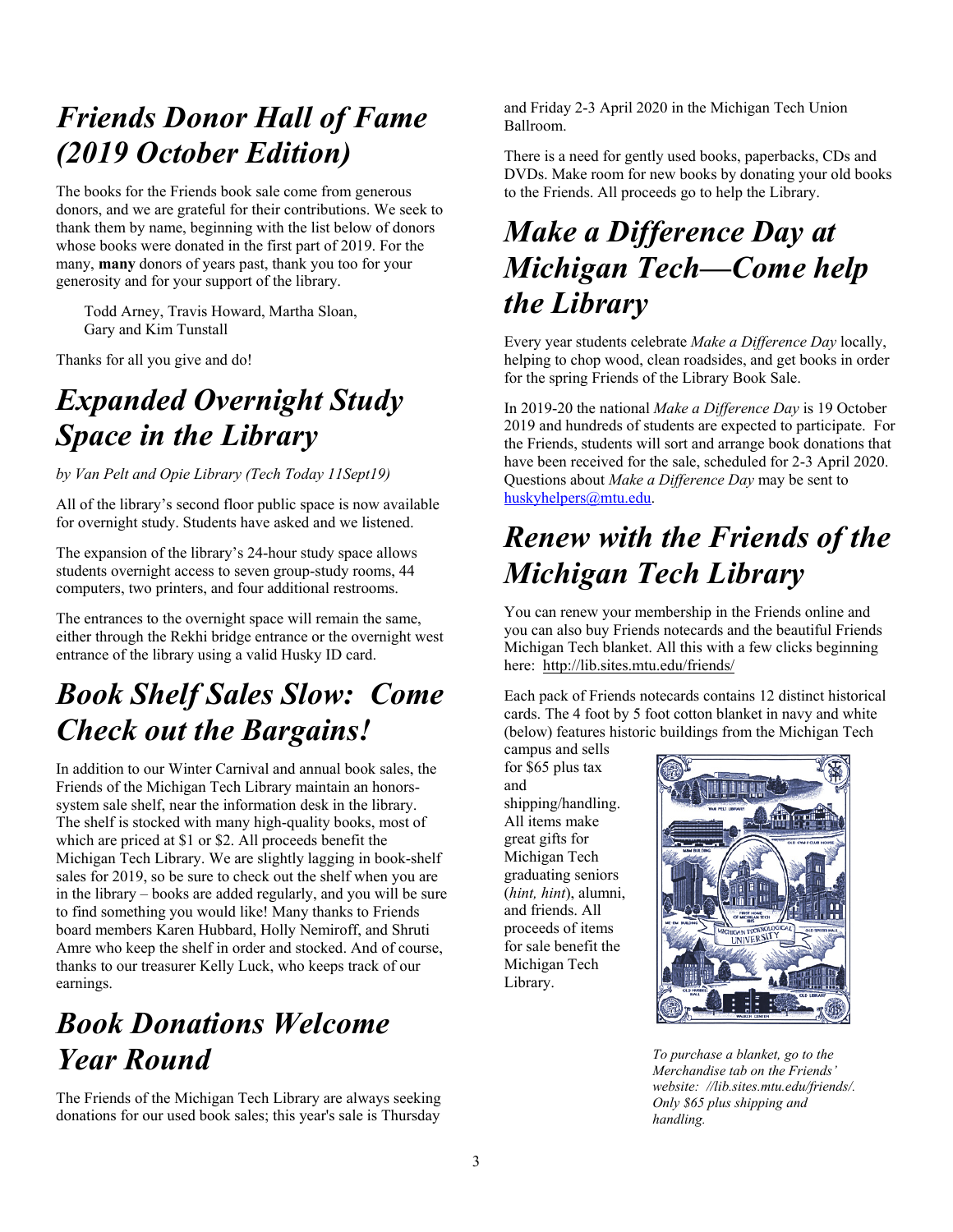## *Friends Donor Hall of Fame (2019 October Edition)*

The books for the Friends book sale come from generous donors, and we are grateful for their contributions. We seek to thank them by name, beginning with the list below of donors whose books were donated in the first part of 2019. For the many, **many** donors of years past, thank you too for your generosity and for your support of the library.

Todd Arney, Travis Howard, Martha Sloan, Gary and Kim Tunstall

Thanks for all you give and do!

#### *Expanded Overnight Study Space in the Library*

*by Van Pelt and Opie Library (Tech Today 11Sept19)* 

All of the library's second floor public space is now available for overnight study. Students have asked and we listened.

The expansion of the library's 24-hour study space allows students overnight access to seven group-study rooms, 44 computers, two printers, and four additional restrooms.

The entrances to the overnight space will remain the same, either through the Rekhi bridge entrance or the overnight west entrance of the library using a valid Husky ID card.

# *Book Shelf Sales Slow: Come Check out the Bargains!*

In addition to our Winter Carnival and annual book sales, the Friends of the Michigan Tech Library maintain an honorssystem sale shelf, near the information desk in the library. The shelf is stocked with many high-quality books, most of which are priced at \$1 or \$2. All proceeds benefit the Michigan Tech Library. We are slightly lagging in book-shelf sales for 2019, so be sure to check out the shelf when you are in the library – books are added regularly, and you will be sure to find something you would like! Many thanks to Friends board members Karen Hubbard, Holly Nemiroff, and Shruti Amre who keep the shelf in order and stocked. And of course, thanks to our treasurer Kelly Luck, who keeps track of our earnings.

# *Book Donations Welcome Year Round*

The Friends of the Michigan Tech Library are always seeking donations for our used book sales; this year's sale is Thursday

and Friday 2-3 April 2020 in the Michigan Tech Union Ballroom.

There is a need for gently used books, paperbacks, CDs and DVDs. Make room for new books by donating your old books to the Friends. All proceeds go to help the Library.

#### *Make a Difference Day at Michigan Tech—Come help the Library*

Every year students celebrate *Make a Difference Day* locally, helping to chop wood, clean roadsides, and get books in order for the spring Friends of the Library Book Sale.

In 2019-20 the national *Make a Difference Day* is 19 October 2019 and hundreds of students are expected to participate. For the Friends, students will sort and arrange book donations that have been received for the sale, scheduled for 2-3 April 2020. Questions about *Make a Difference Day* may be sent to huskyhelpers@mtu.edu.

# *Renew with the Friends of the Michigan Tech Library*

You can renew your membership in the Friends online and you can also buy Friends notecards and the beautiful Friends Michigan Tech blanket. All this with a few clicks beginning here: http://lib.sites.mtu.edu/friends/

Each pack of Friends notecards contains 12 distinct historical cards. The 4 foot by 5 foot cotton blanket in navy and white (below) features historic buildings from the Michigan Tech

campus and sells for \$65 plus tax and shipping/handling. All items make great gifts for Michigan Tech graduating seniors (*hint, hint*), alumni, and friends. All proceeds of items for sale benefit the Michigan Tech Library.



*To purchase a blanket, go to the Merchandise tab on the Friends' website: //lib.sites.mtu.edu/friends/. Only \$65 plus shipping and handling.*